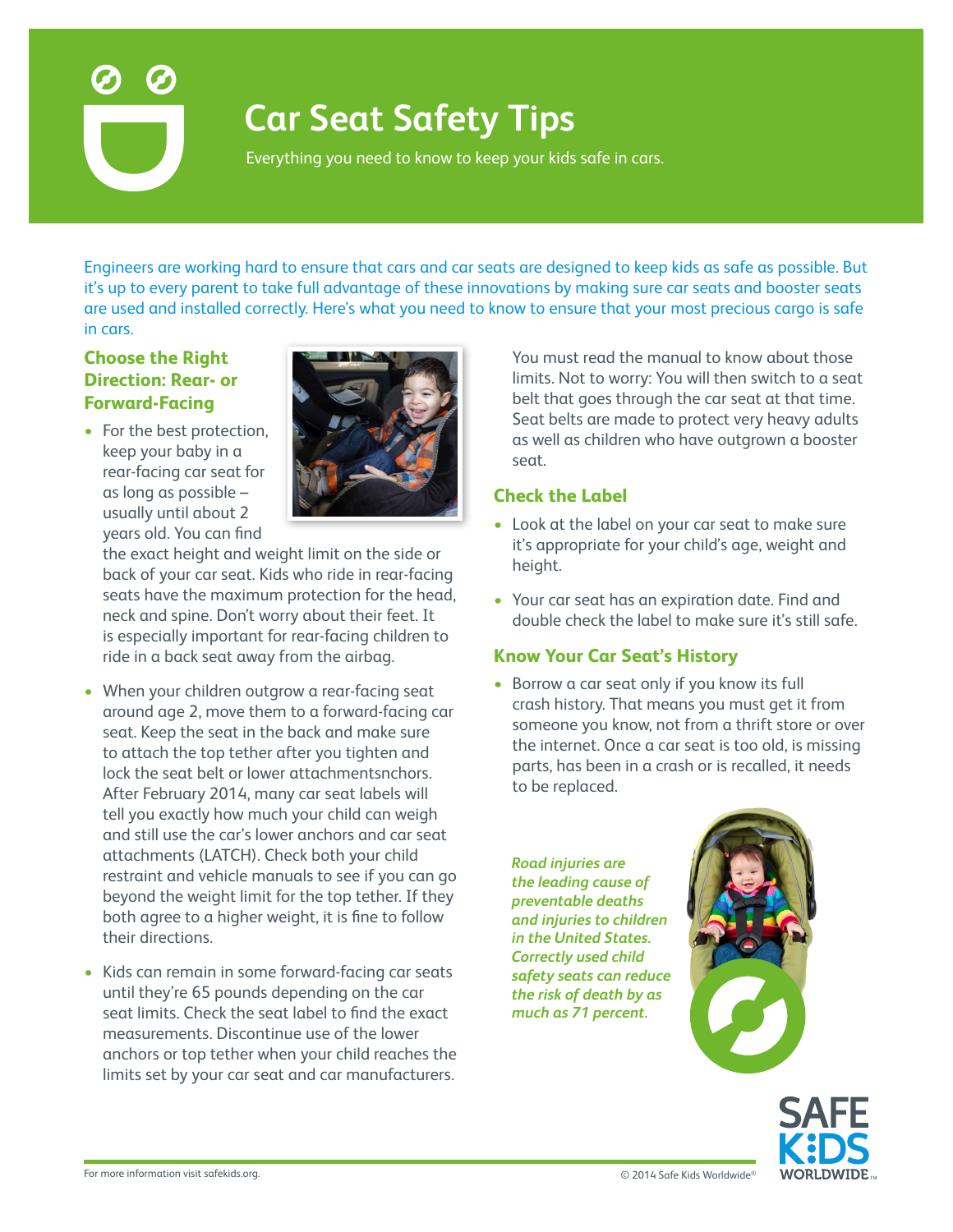

# **Car Seat Safety Tips**

Everything you need to know to keep your kids safe in cars.

Engineers are working hard to ensure that cars and car seats are designed to keep kids as safe as possible. But it's up to every parent to take full advantage of these innovations by making sure car seats and booster seats are used and installed correctly. Here's what you need to know to ensure that your most precious cargo is safe in cars.

# **Choose the Right Direction: Rear- or Forward-Facing**

• For the best protection, keep your baby in a rear-facing car seat for as long as possible – usually until about 2 years old. You can find



the exact height and weight limit on the side or back of your car seat. Kids who ride in rear-facing seats have the maximum protection for the head, neck and spine. Don't worry about their feet. It is especially important for rear-facing children to ride in a back seat away from the airbag.

- When your children outgrow a rear-facing seat around age 2, move them to a forward-facing car seat. Keep the seat in the back and make sure to attach the top tether after you tighten and lock the seat belt or lower attachmentsnchors. After February 2014, many car seat labels will tell you exactly how much your child can weigh and still use the car's lower anchors and car seat attachments (LATCH). Check both your child restraint and vehicle manuals to see if you can go beyond the weight limit for the top tether. If they both agree to a higher weight, it is fine to follow their directions.
- Kids can remain in some forward-facing car seats until they're 65 pounds depending on the car seat limits. Check the seat label to find the exact measurements. Discontinue use of the lower anchors or top tether when your child reaches the limits set by your car seat and car manufacturers.

You must read the manual to know about those limits. Not to worry: You will then switch to a seat belt that goes through the car seat at that time. Seat belts are made to protect very heavy adults as well as children who have outgrown a booster seat.

#### **Check the Label**

- Look at the label on your car seat to make sure it's appropriate for your child's age, weight and height.
- Your car seat has an expiration date. Find and double check the label to make sure it's still safe.

#### **Know Your Car Seat's History**

• Borrow a car seat only if you know its full crash history. That means you must get it from someone you know, not from a thrift store or over the internet. Once a car seat is too old, is missing parts, has been in a crash or is recalled, it needs to be replaced.

*Road injuries are the leading cause of preventable deaths and injuries to children in the United States. Correctly used child safety seats can reduce the risk of death by as much as 71 percent.*